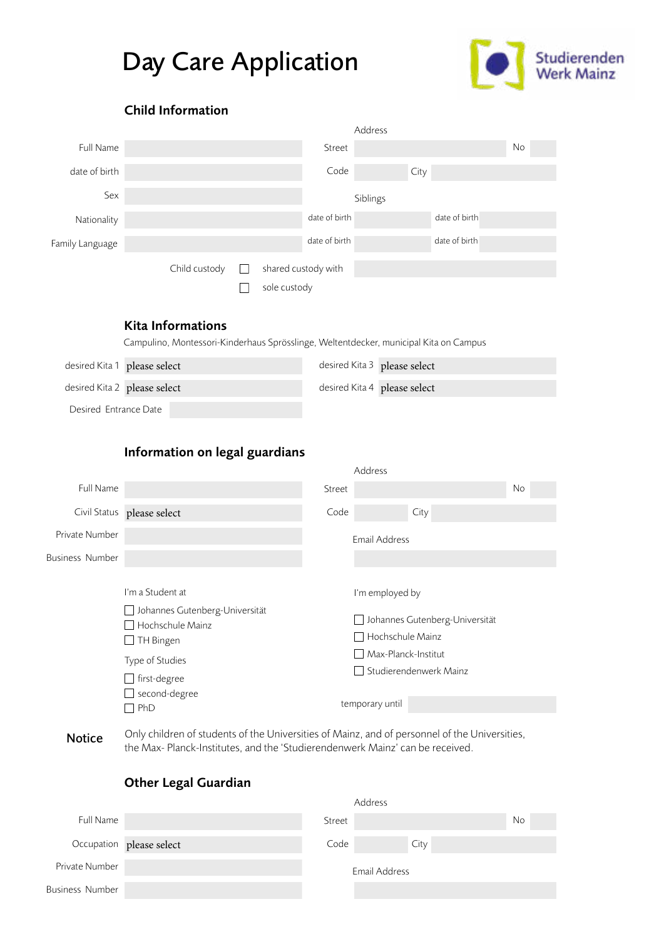# Day Care Application



# Child Information

|                 |               |              |                     | Address  |      |               |    |  |
|-----------------|---------------|--------------|---------------------|----------|------|---------------|----|--|
| Full Name       |               |              | Street              |          |      |               | No |  |
| date of birth   |               |              | Code                |          | City |               |    |  |
| Sex             |               |              |                     | Siblings |      |               |    |  |
| Nationality     |               |              | date of birth       |          |      | date of birth |    |  |
| Family Language |               |              | date of birth       |          |      | date of birth |    |  |
|                 | Child custody |              | shared custody with |          |      |               |    |  |
|                 |               | sole custody |                     |          |      |               |    |  |

#### Kita Informations

Campulino, Montessori-Kinderhaus Sprösslinge, Weltentdecker, municipal Kita on Campus

| desired Kita 1 please select | desired Kita 3 please select   |
|------------------------------|--------------------------------|
| desired Kita 2 please select | desired Kita 4   please select |
| Desired Entrance Date        |                                |

# Information on legal guardians

|                        |                                                                                                                                                                |        | Address                                                                                                                                          |    |
|------------------------|----------------------------------------------------------------------------------------------------------------------------------------------------------------|--------|--------------------------------------------------------------------------------------------------------------------------------------------------|----|
| Full Name              |                                                                                                                                                                | Street |                                                                                                                                                  | No |
|                        | Civil Status please select                                                                                                                                     | Code   | City                                                                                                                                             |    |
| Private Number         |                                                                                                                                                                |        | Email Address                                                                                                                                    |    |
| <b>Business Number</b> |                                                                                                                                                                |        |                                                                                                                                                  |    |
|                        | I'm a Student at<br>Johannes Gutenberg-Universität<br>Hochschule Mainz<br>$\Box$ TH Bingen<br>Type of Studies<br>□ first-degree<br>$\Box$ second-degree<br>PhD |        | I'm employed by<br>Johannes Gutenberg-Universität<br>$\Box$ Hochschule Mainz<br>Max-Planck-Institut<br>Studierendenwerk Mainz<br>temporary until |    |

Only children of students of the Universities of Mainz, and of personnel of the Universities, the Max- Planck-Institutes, and the 'Studierendenwerk Mainz' can be received. Notice

### Other Legal Guardian

|                        |                          | Address |               |    |
|------------------------|--------------------------|---------|---------------|----|
| Full Name              |                          | Street  |               | No |
|                        | Occupation please select | Code    | City          |    |
| Private Number         |                          |         | Email Address |    |
| <b>Business Number</b> |                          |         |               |    |
|                        |                          |         |               |    |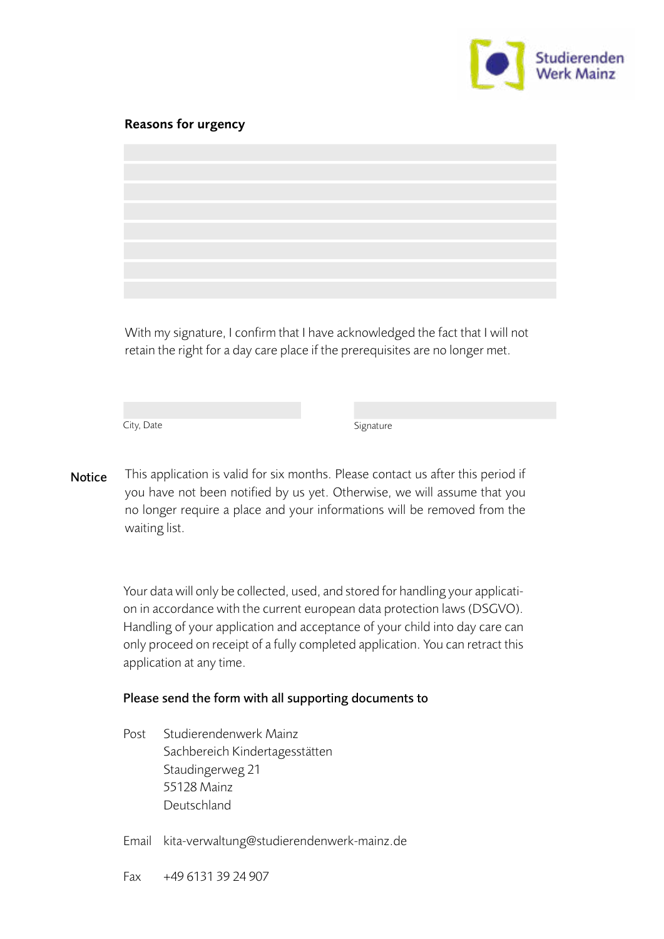

#### Reasons for urgency

With my signature, I confirm that I have acknowledged the fact that I will not retain the right for a day care place if the prerequisites are no longer met.

City, Date Signature

This application is valid for six months. Please contact us after this period if you have not been notified by us yet. Otherwise, we will assume that you no longer require a place and your informations will be removed from the waiting list. Notice

> Your data will only be collected, used, and stored for handling your application in accordance with the current european data protection laws (DSGVO). Handling of your application and acceptance of your child into day care can only proceed on receipt of a fully completed application. You can retract this application at any time.

#### Please send the form with all supporting documents to

Post Studierendenwerk Mainz Sachbereich Kindertagesstätten Staudingerweg 21 55128 Mainz Deutschland

Email kita-verwaltung@studierendenwerk-mainz.de

Fax +49 6131 39 24 907